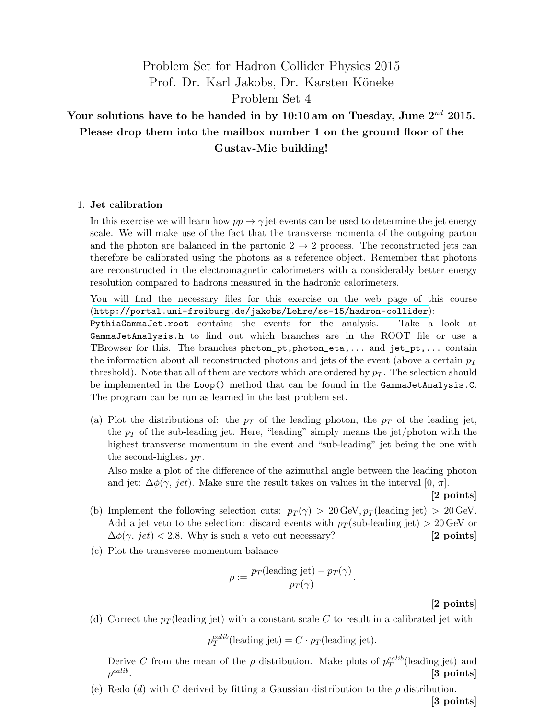## Your solutions have to be handed in by  $10:10$  am on Tuesday, June  $2^{nd}$  2015. Please drop them into the mailbox number 1 on the ground floor of the Gustav-Mie building!

## 1. Jet calibration

In this exercise we will learn how  $pp \to \gamma$  jet events can be used to determine the jet energy scale. We will make use of the fact that the transverse momenta of the outgoing parton and the photon are balanced in the partonic  $2 \rightarrow 2$  process. The reconstructed jets can therefore be calibrated using the photons as a reference object. Remember that photons are reconstructed in the electromagnetic calorimeters with a considerably better energy resolution compared to hadrons measured in the hadronic calorimeters.

You will find the necessary files for this exercise on the web page of this course (<http://portal.uni-freiburg.de/jakobs/Lehre/ss-15/hadron-collider>):

PythiaGammaJet.root contains the events for the analysis. Take a look at GammaJetAnalysis.h to find out which branches are in the ROOT file or use a TBrowser for this. The branches photon\_pt,photon\_eta,... and jet\_pt,... contain the information about all reconstructed photons and jets of the event (above a certain  $p_T$ ) threshold). Note that all of them are vectors which are ordered by  $p_T$ . The selection should be implemented in the Loop() method that can be found in the GammaJetAnalysis.C. The program can be run as learned in the last problem set.

(a) Plot the distributions of: the  $p_T$  of the leading photon, the  $p_T$  of the leading jet, the  $p_T$  of the sub-leading jet. Here, "leading" simply means the jet/photon with the highest transverse momentum in the event and "sub-leading" jet being the one with the second-highest  $p_T$ .

Also make a plot of the difference of the azimuthal angle between the leading photon and jet:  $\Delta \phi(\gamma, jet)$ . Make sure the result takes on values in the interval  $[0, \pi]$ .

[2 points]

- (b) Implement the following selection cuts:  $p_T(\gamma) > 20 \,\text{GeV}, p_T(\text{leading jet}) > 20 \,\text{GeV}.$ Add a jet veto to the selection: discard events with  $p_T(\text{sub-leading jet}) > 20 \,\text{GeV}$  or  $\Delta\phi(\gamma, jet)$  < 2.8. Why is such a veto cut necessary? [2 points]
- (c) Plot the transverse momentum balance

$$
\rho := \frac{p_T(\text{leading jet}) - p_T(\gamma)}{p_T(\gamma)}.
$$

[2 points]

(d) Correct the  $p_T$  (leading jet) with a constant scale C to result in a calibrated jet with

 $p_T^{calib}$ (leading jet) =  $C \cdot p_T$ (leading jet).

Derive C from the mean of the  $\rho$  distribution. Make plots of  $p_T^{calib}$  (leading jet) and  $\rho^{calib}$ . [3 points]

(e) Redo (d) with C derived by fitting a Gaussian distribution to the  $\rho$  distribution. [3 points]